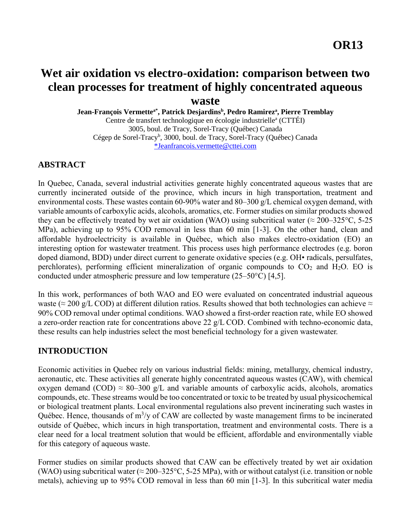# **Wet air oxidation vs electro-oxidation: comparison between two clean processes for treatment of highly concentrated aqueous waste**

**Jean-François Vermettea\*, Patrick Desjardins<sup>b</sup> , Pedro Ramirez<sup>a</sup> , Pierre Tremblay**

Centre de transfert technologique en écologie industrielle<sup>a</sup> (CTTÉI) 3005, boul. de Tracy, Sorel-Tracy (Québec) Canada Cégep de Sorel-Tracy<sup>b</sup>, 3000, boul. de Tracy, Sorel-Tracy (Québec) Canada [\\*Jeanfrancois.vermette@cttei.com](mailto:*Jeanfrancois.vermette@cttei.com)

## **ABSTRACT**

In Quebec, Canada, several industrial activities generate highly concentrated aqueous wastes that are currently incinerated outside of the province, which incurs in high transportation, treatment and environmental costs. These wastes contain 60-90% water and 80–300 g/L chemical oxygen demand, with variable amounts of carboxylic acids, alcohols, aromatics, etc. Former studies on similar products showed they can be effectively treated by wet air oxidation (WAO) using subcritical water ( $\approx$  200–325 °C, 5-25 MPa), achieving up to 95% COD removal in less than 60 min [1-3]. On the other hand, clean and affordable hydroelectricity is available in Québec, which also makes electro-oxidation (EO) an interesting option for wastewater treatment. This process uses high performance electrodes (e.g. boron doped diamond, BDD) under direct current to generate oxidative species (e.g. OH• radicals, persulfates, perchlorates), performing efficient mineralization of organic compounds to  $CO<sub>2</sub>$  and H<sub>2</sub>O. EO is conducted under atmospheric pressure and low temperature (25–50°C) [4,5].

In this work, performances of both WAO and EO were evaluated on concentrated industrial aqueous waste (≈ 200 g/L COD) at different dilution ratios. Results showed that both technologies can achieve  $\approx$ 90% COD removal under optimal conditions. WAO showed a first-order reaction rate, while EO showed a zero-order reaction rate for concentrations above 22 g/L COD. Combined with techno-economic data, these results can help industries select the most beneficial technology for a given wastewater.

# **INTRODUCTION**

Economic activities in Quebec rely on various industrial fields: mining, metallurgy, chemical industry, aeronautic, etc. These activities all generate highly concentrated aqueous wastes (CAW), with chemical oxygen demand (COD)  $\approx 80-300$  g/L and variable amounts of carboxylic acids, alcohols, aromatics compounds, etc. These streams would be too concentrated or toxic to be treated by usual physicochemical or biological treatment plants. Local environmental regulations also prevent incinerating such wastes in Québec. Hence, thousands of m<sup>3</sup>/y of CAW are collected by waste management firms to be incinerated outside of Québec, which incurs in high transportation, treatment and environmental costs. There is a clear need for a local treatment solution that would be efficient, affordable and environmentally viable for this category of aqueous waste.

Former studies on similar products showed that CAW can be effectively treated by wet air oxidation (WAO) using subcritical water ( $\approx$  200–325°C, 5-25 MPa), with or without catalyst (i.e. transition or noble metals), achieving up to 95% COD removal in less than 60 min [1-3]. In this subcritical water media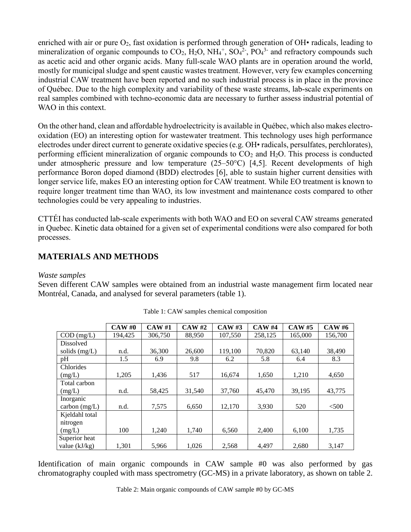enriched with air or pure  $O_2$ , fast oxidation is performed through generation of OH $\cdot$  radicals, leading to mineralization of organic compounds to  $CO_2$ ,  $H_2O$ ,  $NH_4^+$ ,  $SO_4^2$ <sup>-</sup>,  $PO_4^3$ <sup>-</sup> and refractory compounds such as acetic acid and other organic acids. Many full-scale WAO plants are in operation around the world, mostly for municipal sludge and spent caustic wastes treatment. However, very few examples concerning industrial CAW treatment have been reported and no such industrial process is in place in the province of Québec. Due to the high complexity and variability of these waste streams, lab-scale experiments on real samples combined with techno-economic data are necessary to further assess industrial potential of WAO in this context.

On the other hand, clean and affordable hydroelectricity is available in Québec, which also makes electrooxidation (EO) an interesting option for wastewater treatment. This technology uses high performance electrodes under direct current to generate oxidative species (e.g. OH• radicals, persulfates, perchlorates), performing efficient mineralization of organic compounds to  $CO<sub>2</sub>$  and  $H<sub>2</sub>O$ . This process is conducted under atmospheric pressure and low temperature (25–50°C) [4,5]. Recent developments of high performance Boron doped diamond (BDD) electrodes [6], able to sustain higher current densities with longer service life, makes EO an interesting option for CAW treatment. While EO treatment is known to require longer treatment time than WAO, its low investment and maintenance costs compared to other technologies could be very appealing to industries.

CTTÉI has conducted lab-scale experiments with both WAO and EO on several CAW streams generated in Quebec. Kinetic data obtained for a given set of experimental conditions were also compared for both processes.

# **MATERIALS AND METHODS**

## *Waste samples*

Seven different CAW samples were obtained from an industrial waste management firm located near Montréal, Canada, and analysed for several parameters (table 1).

|                  | CAWH0   | <b>CAW#1</b> | CAW#2  | CAWH3   | <b>CAW#4</b> | <b>CAW#5</b> | <b>CAW#6</b> |
|------------------|---------|--------------|--------|---------|--------------|--------------|--------------|
| $COD$ (mg/L)     | 194.425 | 306,750      | 88.950 | 107.550 | 258,125      | 165,000      | 156,700      |
| <b>Dissolved</b> |         |              |        |         |              |              |              |
| solids $(mg/L)$  | n.d.    | 36,300       | 26,600 | 119.100 | 70,820       | 63,140       | 38,490       |
| pH               | 1.5     | 6.9          | 9.8    | 6.2     | 5.8          | 6.4          | 8.3          |
| Chlorides        |         |              |        |         |              |              |              |
| (mg/L)           | 1,205   | 1,436        | 517    | 16.674  | 1,650        | 1,210        | 4,650        |
| Total carbon     |         |              |        |         |              |              |              |
| (mg/L)           | n.d.    | 58,425       | 31,540 | 37,760  | 45,470       | 39,195       | 43,775       |
| Inorganic        |         |              |        |         |              |              |              |
| carbon $(mg/L)$  | n.d.    | 7,575        | 6,650  | 12.170  | 3,930        | 520          | $<$ 500      |
| Kjeldahl total   |         |              |        |         |              |              |              |
| nitrogen         |         |              |        |         |              |              |              |
| (mg/L)           | 100     | 1,240        | 1,740  | 6,560   | 2,400        | 6,100        | 1,735        |
| Superior heat    |         |              |        |         |              |              |              |
| value $(kJ/kg)$  | 1,301   | 5,966        | 1.026  | 2,568   | 4.497        | 2,680        | 3,147        |

Table 1: CAW samples chemical composition

Identification of main organic compounds in CAW sample #0 was also performed by gas chromatography coupled with mass spectrometry (GC-MS) in a private laboratory, as shown on table 2.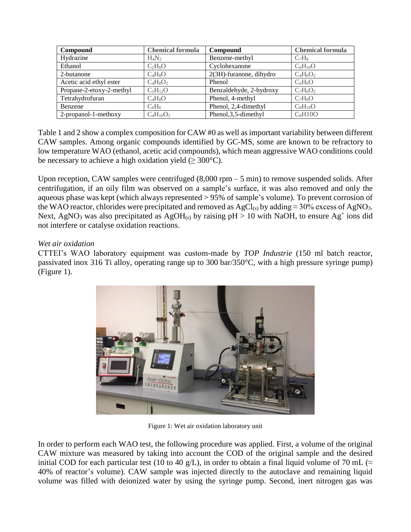| Compound                 | <b>Chemical formula</b> | Compound                   | <b>Chemical formula</b> |
|--------------------------|-------------------------|----------------------------|-------------------------|
| Hydrazine                | $H_4N_2$                | Benzene-methyl             | $C_7H_8$                |
| Ethanol                  | $C_2H_6O$               | Cyclohexanone              | $C_6H_{10}O$            |
| 2-butanone               | $C_4H_8O$               | $2(3H)$ -furanone, dihydro | $C_4H_6O_2$             |
| Acetic acid ethyl ester  | $C_4H_8O_2$             | Phenol                     | $C_6H_6O$               |
| Propane-2-etoxy-2-methyl | $C_5H_{12}O$            | Benzaldehyde, 2-hydroxy    | $C_7H_6O_2$             |
| Tetrahydrofuran          | $C_4H_8O$               | Phenol, 4-methyl           | $C_7H_8O$               |
| Benzene                  | $C_6H_6$                | Phenol, 2,4-dimethyl       | $C_8H_{10}O$            |
| 2-propanol-1-methoxy     | $C_4H_{10}O_2$          | Phenol, 3, 5-dimethyl      | $C_8H10O$               |

Table 1 and 2 show a complex composition for CAW #0 as well asimportant variability between different CAW samples. Among organic compounds identified by GC-MS, some are known to be refractory to low temperature WAO (ethanol, acetic acid compounds), which mean aggressive WAO conditions could be necessary to achieve a high oxidation yield ( $\geq 300^{\circ}$ C).

Upon reception, CAW samples were centrifuged  $(8,000 \text{ rpm} - 5 \text{ min})$  to remove suspended solids. After centrifugation, if an oily film was observed on a sample's surface, it was also removed and only the aqueous phase was kept (which always represented > 95% of sample's volume). To prevent corrosion of the WAO reactor, chlorides were precipitated and removed as  $AgCl_{(s)}$  by adding  $\approx 30\%$  excess of AgNO<sub>3</sub>. Next, AgNO<sub>3</sub> was also precipitated as AgOH<sub>(s)</sub> by raising  $pH > 10$  with NaOH, to ensure Ag<sup>+</sup> ions did not interfere or catalyse oxidation reactions.

## *Wet air oxidation*

CTTEI's WAO laboratory equipment was custom-made by *TOP Industrie* (150 ml batch reactor, passivated inox 316 Ti alloy, operating range up to 300 bar/350°C, with a high pressure syringe pump) (Figure 1).



Figure 1: Wet air oxidation laboratory unit

In order to perform each WAO test, the following procedure was applied. First, a volume of the original CAW mixture was measured by taking into account the COD of the original sample and the desired initial COD for each particular test (10 to 40 g/L), in order to obtain a final liquid volume of 70 mL ( $\approx$ 40% of reactor's volume). CAW sample was injected directly to the autoclave and remaining liquid volume was filled with deionized water by using the syringe pump. Second, inert nitrogen gas was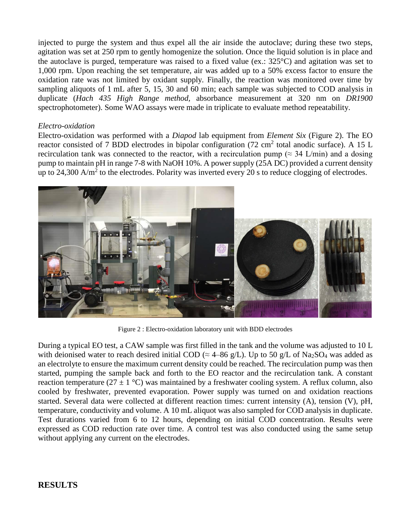injected to purge the system and thus expel all the air inside the autoclave; during these two steps, agitation was set at 250 rpm to gently homogenize the solution. Once the liquid solution is in place and the autoclave is purged, temperature was raised to a fixed value (ex.: 325°C) and agitation was set to 1,000 rpm. Upon reaching the set temperature, air was added up to a 50% excess factor to ensure the oxidation rate was not limited by oxidant supply. Finally, the reaction was monitored over time by sampling aliquots of 1 mL after 5, 15, 30 and 60 min; each sample was subjected to COD analysis in duplicate (*Hach 435 High Range method,* absorbance measurement at 320 nm on *DR1900*  spectrophotometer). Some WAO assays were made in triplicate to evaluate method repeatability.

#### *Electro-oxidation*

Electro-oxidation was performed with a *Diapod* lab equipment from *Element Six* (Figure 2). The EO reactor consisted of 7 BDD electrodes in bipolar configuration (72 cm<sup>2</sup> total anodic surface). A 15 L recirculation tank was connected to the reactor, with a recirculation pump ( $\approx$  34 L/min) and a dosing pump to maintain pH in range 7-8 with NaOH 10%. A power supply (25A DC) provided a current density up to 24,300 A/m<sup>2</sup> to the electrodes. Polarity was inverted every 20 s to reduce clogging of electrodes.



Figure 2 : Electro-oxidation laboratory unit with BDD electrodes

During a typical EO test, a CAW sample was first filled in the tank and the volume was adjusted to 10 L with deionised water to reach desired initial COD ( $\approx$  4–86 g/L). Up to 50 g/L of Na<sub>2</sub>SO<sub>4</sub> was added as an electrolyte to ensure the maximum current density could be reached. The recirculation pump was then started, pumping the sample back and forth to the EO reactor and the recirculation tank. A constant reaction temperature (27  $\pm$  1 °C) was maintained by a freshwater cooling system. A reflux column, also cooled by freshwater, prevented evaporation. Power supply was turned on and oxidation reactions started. Several data were collected at different reaction times: current intensity (A), tension (V), pH, temperature, conductivity and volume. A 10 mL aliquot was also sampled for COD analysis in duplicate. Test durations varied from 6 to 12 hours, depending on initial COD concentration. Results were expressed as COD reduction rate over time. A control test was also conducted using the same setup without applying any current on the electrodes.

## **RESULTS**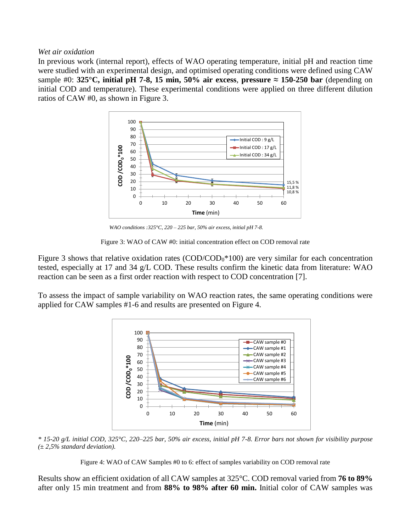#### *Wet air oxidation*

In previous work (internal report), effects of WAO operating temperature, initial pH and reaction time were studied with an experimental design, and optimised operating conditions were defined using CAW sample #0: **325°C, initial pH 7-8, 15 min, 50% air excess, pressure**  $\approx$  **150-250 bar (depending on** initial COD and temperature). These experimental conditions were applied on three different dilution ratios of CAW #0, as shown in Figure 3.



*WAO conditions :325°C, 220 – 225 bar, 50% air excess, initial pH 7-8.*

Figure 3: WAO of CAW #0: initial concentration effect on COD removal rate

Figure 3 shows that relative oxidation rates (COD/COD<sub>0</sub>\*100) are very similar for each concentration tested, especially at 17 and 34 g/L COD. These results confirm the kinetic data from literature: WAO reaction can be seen as a first order reaction with respect to COD concentration [7].

To assess the impact of sample variability on WAO reaction rates, the same operating conditions were applied for CAW samples #1-6 and results are presented on Figure 4.



*\* 15-20 g/L initial COD, 325°C, 220–225 bar, 50% air excess, initial pH 7-8. Error bars not shown for visibility purpose (± 2,5% standard deviation).*

Figure 4: WAO of CAW Samples #0 to 6: effect of samples variability on COD removal rate

Results show an efficient oxidation of all CAW samples at 325°C. COD removal varied from **76 to 89%** after only 15 min treatment and from **88% to 98% after 60 min.** Initial color of CAW samples was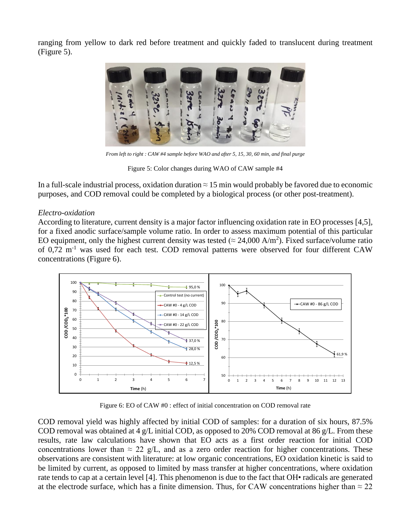ranging from yellow to dark red before treatment and quickly faded to translucent during treatment (Figure 5).



*From left to right : CAW #4 sample before WAO and after 5, 15, 30, 60 min, and final purge*

Figure 5: Color changes during WAO of CAW sample #4

In a full-scale industrial process, oxidation duration  $\approx 15$  min would probably be favored due to economic purposes, and COD removal could be completed by a biological process (or other post-treatment).

## *Electro-oxidation*

According to literature, current density is a major factor influencing oxidation rate in EO processes [4,5], for a fixed anodic surface/sample volume ratio. In order to assess maximum potential of this particular EO equipment, only the highest current density was tested ( $\approx 24,000 \text{ A/m}^2$ ). Fixed surface/volume ratio of 0,72 m<sup>-1</sup> was used for each test. COD removal patterns were observed for four different CAW concentrations (Figure 6).



Figure 6: EO of CAW #0 : effect of initial concentration on COD removal rate

COD removal yield was highly affected by initial COD of samples: for a duration of six hours, 87.5% COD removal was obtained at 4 g/L initial COD, as opposed to 20% COD removal at 86 g/L. From these results, rate law calculations have shown that EO acts as a first order reaction for initial COD concentrations lower than  $\approx 22$  g/L, and as a zero order reaction for higher concentrations. These observations are consistent with literature: at low organic concentrations, EO oxidation kinetic is said to be limited by current, as opposed to limited by mass transfer at higher concentrations, where oxidation rate tends to cap at a certain level [4]. This phenomenon is due to the fact that OH• radicals are generated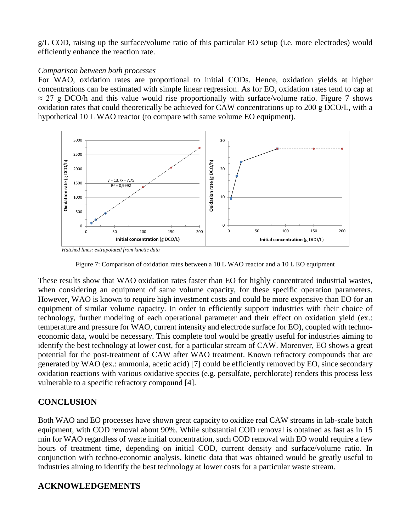g/L COD, raising up the surface/volume ratio of this particular EO setup (i.e. more electrodes) would efficiently enhance the reaction rate.

## *Comparison between both processes*

For WAO, oxidation rates are proportional to initial CODs. Hence, oxidation yields at higher concentrations can be estimated with simple linear regression. As for EO, oxidation rates tend to cap at  $\approx$  27 g DCO/h and this value would rise proportionally with surface/volume ratio. Figure 7 shows oxidation rates that could theoretically be achieved for CAW concentrations up to 200 g DCO/L, with a hypothetical 10 L WAO reactor (to compare with same volume EO equipment).



*Hatched lines: extrapolated from kinetic data*

Figure 7: Comparison of oxidation rates between a 10 L WAO reactor and a 10 L EO equipment

These results show that WAO oxidation rates faster than EO for highly concentrated industrial wastes, when considering an equipment of same volume capacity, for these specific operation parameters. However, WAO is known to require high investment costs and could be more expensive than EO for an equipment of similar volume capacity. In order to efficiently support industries with their choice of technology, further modeling of each operational parameter and their effect on oxidation yield (ex.: temperature and pressure for WAO, current intensity and electrode surface for EO), coupled with technoeconomic data, would be necessary. This complete tool would be greatly useful for industries aiming to identify the best technology at lower cost, for a particular stream of CAW. Moreover, EO shows a great potential for the post-treatment of CAW after WAO treatment. Known refractory compounds that are generated by WAO (ex.: ammonia, acetic acid) [7] could be efficiently removed by EO, since secondary oxidation reactions with various oxidative species (e.g. persulfate, perchlorate) renders this process less vulnerable to a specific refractory compound [4].

# **CONCLUSION**

Both WAO and EO processes have shown great capacity to oxidize real CAW streams in lab-scale batch equipment, with COD removal about 90%. While substantial COD removal is obtained as fast as in 15 min for WAO regardless of waste initial concentration, such COD removal with EO would require a few hours of treatment time, depending on initial COD, current density and surface/volume ratio. In conjunction with techno-economic analysis, kinetic data that was obtained would be greatly useful to industries aiming to identify the best technology at lower costs for a particular waste stream.

# **ACKNOWLEDGEMENTS**